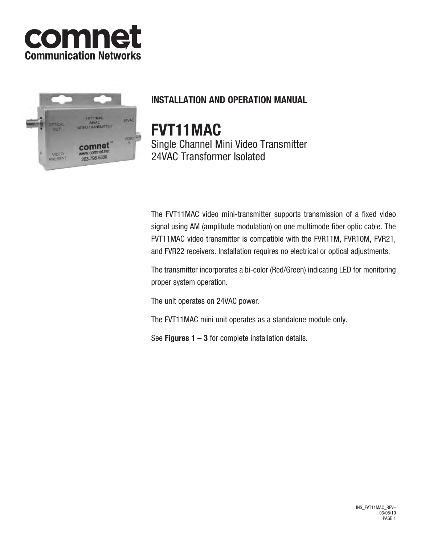



# **INSTALLATION AND OPERATION MANUAL**

**FVT11MAC** Single Channel Mini Video Transmitter

24VAC Transformer Isolated

The FVT11MAC video mini-transmitter supports transmission of a fixed video signal using AM (amplitude modulation) on one multimode fiber optic cable. The FVT11MAC video transmitter is compatible with the FVR11M, FVR10M, FVR21, and FVR22 receivers. Installation requires no electrical or optical adjustments.

The transmitter incorporates a bi-color (Red/Green) indicating LED for monitoring proper system operation.

The unit operates on 24VAC power.

The FVT11MAC mini unit operates as a standalone module only.

See **Figures 1 – 3** for complete installation details.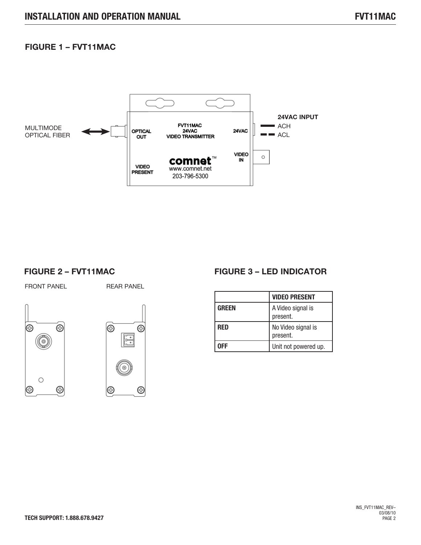# **FIGURE 1 – FVT11MAC**



### FRONT PANEL REAR PANEL







|              | <b>VIDEO PRESENT</b>           |
|--------------|--------------------------------|
| <b>GREEN</b> | A Video signal is<br>present.  |
| RED          | No Video signal is<br>present. |
|              | Unit not powered up.           |